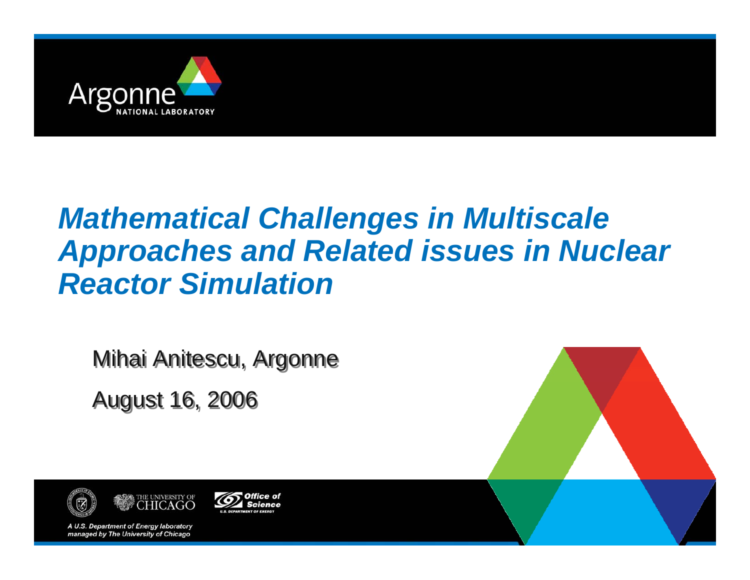

# *Mathematical Challenges in Multiscale Approaches and Related issues in Nuclear Reactor Simulation*

Mihai Anitescu, Argonne Mihai Anitescu, Argonne

August 16, 2006 August 16, 2006







A U.S. Department of Energy laboratory managed by The University of Chicago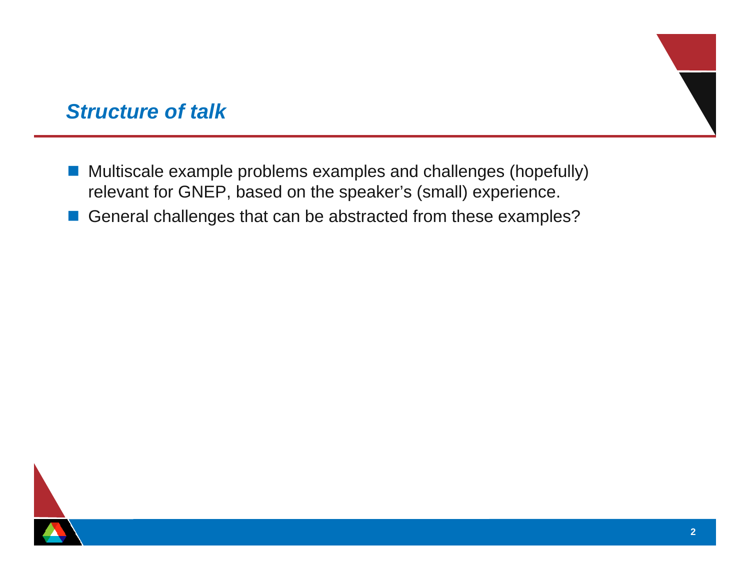- Multiscale example problems examples and challenges (hopefully) relevant for GNEP, based on the speaker's (small) experience.
- General challenges that can be abstracted from these examples?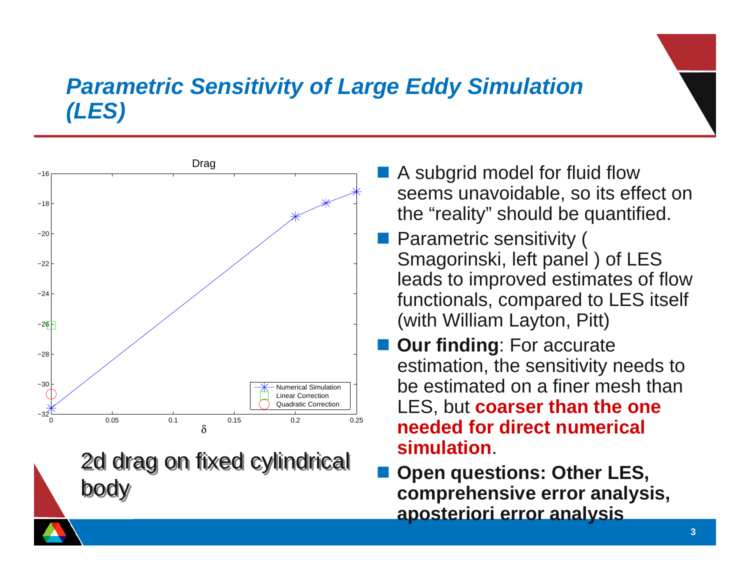## *Parametric Sensitivity of Large Eddy Simulation (LES)*



2d drag on fixed cylindrical 2d drag on fixed cylindrical body body

- A subgrid model for fluid flow seems unavoidable, so its effect on the "reality" should be quantified.
- **Parametric sensitivity (** Smagorinski, left panel ) of LES leads to improved estimates of flow functionals, compared to LES itself (with William Layton, Pitt)
- **Our finding**: For accurate estimation, the sensitivity needs to be estimated on a finer mesh than LES, but **coarser than the one needed for direct numerical simulation**.
- **Service Service Open questions: Other LES, comprehensive error analysis, aposteriori error analysis**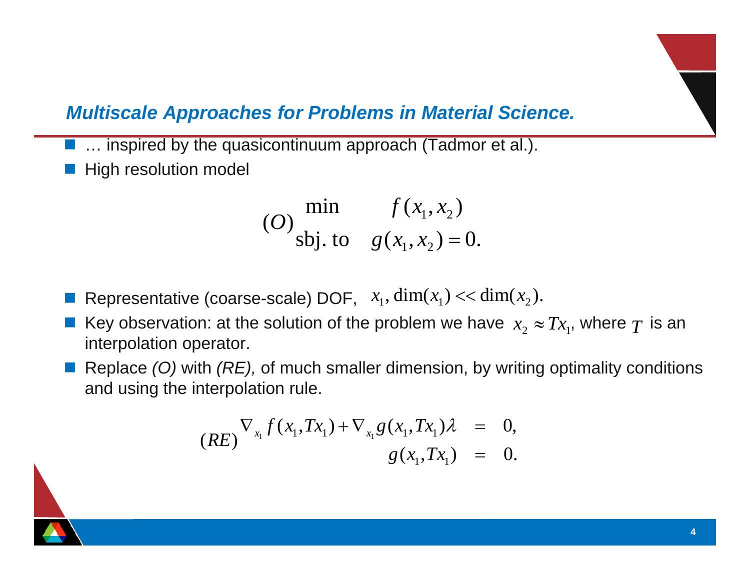#### *Multiscale Approaches for Problems in Material Science.*

 $\overline{\mathbb{R}}$ **E.** ... inspired by the quasicontinuum approach (Tadmor et al.).

 $\overline{\mathbb{R}}$ High resolution model

(*O*) 
$$
\begin{array}{ll}\text{min} & f(x_1, x_2) \\ \text{sbj. to} & g(x_1, x_2) = 0. \end{array}
$$

- $\overline{\mathbb{R}}$ Representative (coarse-scale) DOF,  $x_1$ ,  $\dim(x_1)$  <<  $\dim(x_2)$ .
- $\overline{\mathbb{R}}$ ■ Key observation: at the solution of the problem we have  $x_2 \approx Tx_1$ , where  $T$  is an interpolation operator.
- $\mathbb{R}^2$  Replace *(O)* with *(RE),* of much smaller dimension, by writing optimality conditions and using the interpolation rule.

$$
(RE)^{\nabla_{x_1} f(x_1, Tx_1) + \nabla_{x_1} g(x_1, Tx_1) \lambda} = 0, \quad g(x_1, Tx_1) = 0.
$$

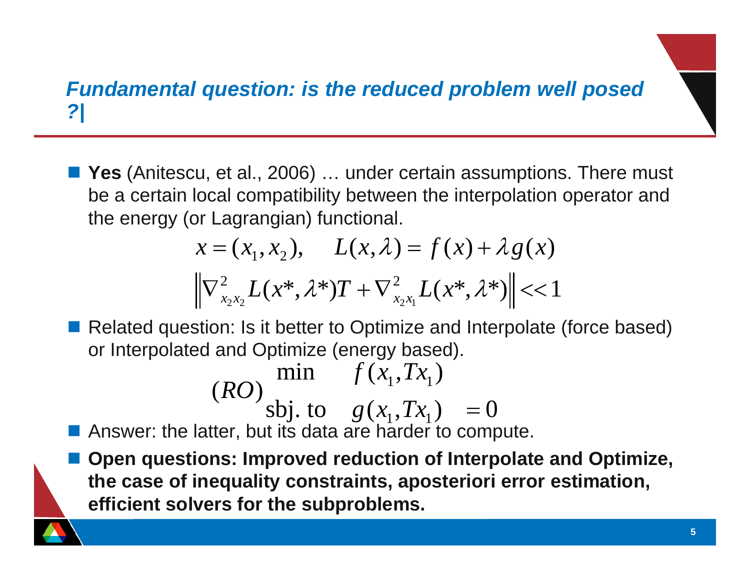#### *Fundamental question: is the reduced problem well posed ?|*

■ Yes (Anitescu, et al., 2006) … under certain assumptions. There must be a certain local compatibility between the interpolation operator and the energy (or Lagrangian) functional.

$$
x = (x_1, x_2), \qquad L(x, \lambda) = f(x) + \lambda g(x)
$$

$$
\left\| \nabla_{x_2 x_2}^2 L(x^*, \lambda^*) T + \nabla_{x_2 x_1}^2 L(x^*, \lambda^*) \right\| < 1
$$

■ Related question: Is it better to Optimize and Interpolate (force based) or Interpolated and Optimize (energy based).

(RO) min 
$$
f(x_1, Tx_1)
$$
  
sbj. to  $g(x_1, Tx_1) = 0$ 

**E.** Answer: the latter, but its data are harder to compute.

 **Open questions: Improved reduction of Interpolate and Optimize, the case of inequality constraints, aposteriori error estimation, efficient solvers for the subproblems.**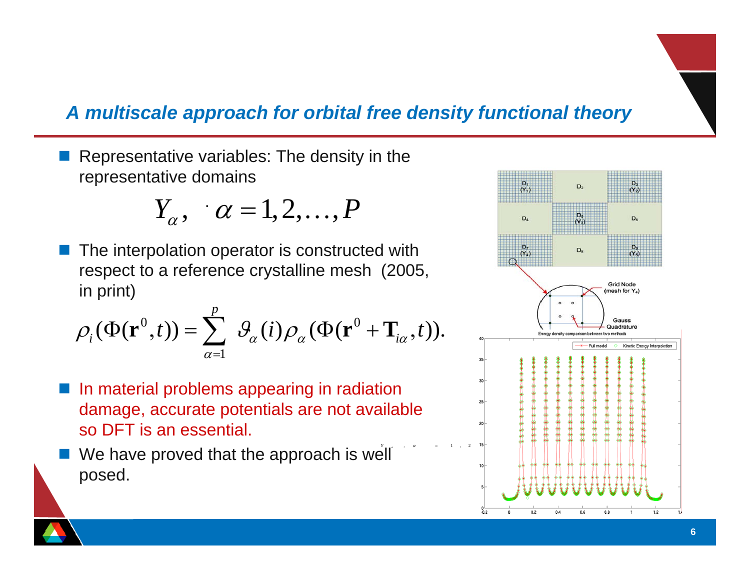#### *A multiscale approach for orbital free density functional theory*

 $\overline{\mathbb{R}}$  Representative variables: The density in the representative domains

$$
Y_{\alpha}, \quad \alpha = 1, 2, \ldots, P
$$

 $\overline{\mathbb{R}}$  The interpolation operator is constructed with respect to a reference crystalline mesh (2005, in print)

$$
\rho_i(\Phi(\mathbf{r}^0,t)) = \sum_{\alpha=1}^p \vartheta_\alpha(i) \rho_\alpha(\Phi(\mathbf{r}^0+\mathbf{T}_{i\alpha},t)).
$$

- $\overline{\mathbb{R}}$  In material problems appearing in radiation damage, accurate potentials are not available so DFT is an essential.
- $\overline{\mathbb{R}}$ We have proved that the approach is well posed.

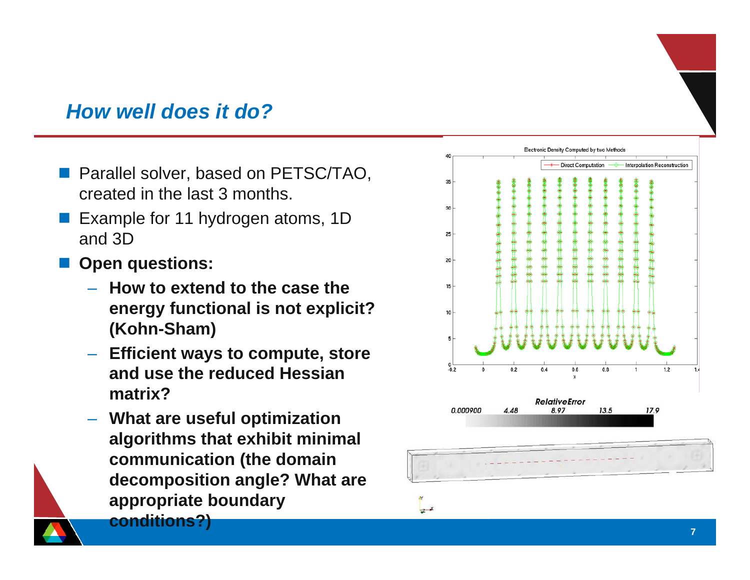### *How well does it do?*

- **Parallel solver, based on PETSC/TAO,** created in the last 3 months.
- $\overline{\mathbb{R}}$  Example for 11 hydrogen atoms, 1D and 3D
- $\overline{\mathbb{R}}$  **Open questions:**
	- **How to extend to the case the energy functional is not explicit? (Kohn-Sham)**
	- **Efficient ways to compute, store and use the reduced Hessian matrix?**
	- – **What are useful optimization algorithms that exhibit minimal communication (the domain decomposition angle? What are appropriate boundary conditions?)**